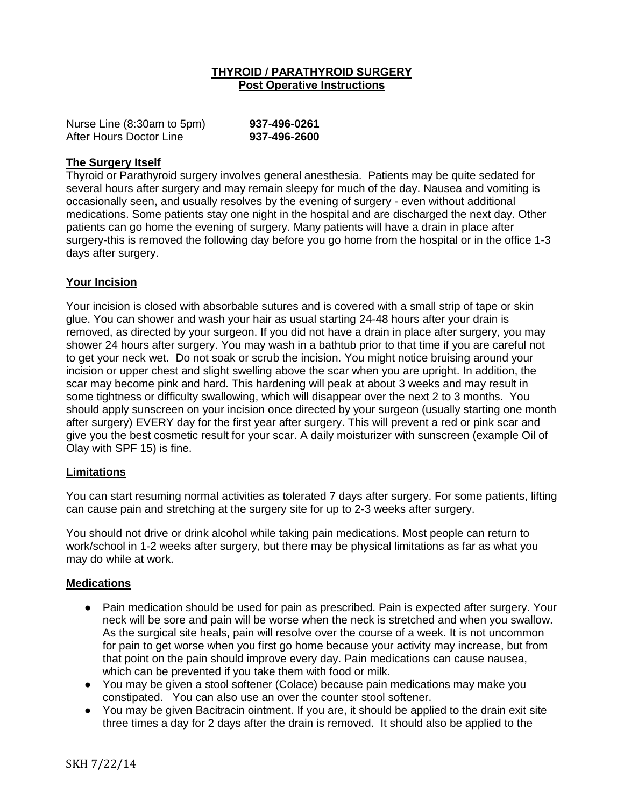### **THYROID / PARATHYROID SURGERY Post Operative Instructions**

| Nurse Line (8:30am to 5pm) | 937-496-0261 |
|----------------------------|--------------|
| After Hours Doctor Line    | 937-496-2600 |

### **The Surgery Itself**

Thyroid or Parathyroid surgery involves general anesthesia. Patients may be quite sedated for several hours after surgery and may remain sleepy for much of the day. Nausea and vomiting is occasionally seen, and usually resolves by the evening of surgery - even without additional medications. Some patients stay one night in the hospital and are discharged the next day. Other patients can go home the evening of surgery. Many patients will have a drain in place after surgery-this is removed the following day before you go home from the hospital or in the office 1-3 days after surgery.

### **Your Incision**

Your incision is closed with absorbable sutures and is covered with a small strip of tape or skin glue. You can shower and wash your hair as usual starting 24-48 hours after your drain is removed, as directed by your surgeon. If you did not have a drain in place after surgery, you may shower 24 hours after surgery. You may wash in a bathtub prior to that time if you are careful not to get your neck wet. Do not soak or scrub the incision. You might notice bruising around your incision or upper chest and slight swelling above the scar when you are upright. In addition, the scar may become pink and hard. This hardening will peak at about 3 weeks and may result in some tightness or difficulty swallowing, which will disappear over the next 2 to 3 months. You should apply sunscreen on your incision once directed by your surgeon (usually starting one month after surgery) EVERY day for the first year after surgery. This will prevent a red or pink scar and give you the best cosmetic result for your scar. A daily moisturizer with sunscreen (example Oil of Olay with SPF 15) is fine.

#### **Limitations**

You can start resuming normal activities as tolerated 7 days after surgery. For some patients, lifting can cause pain and stretching at the surgery site for up to 2-3 weeks after surgery.

You should not drive or drink alcohol while taking pain medications. Most people can return to work/school in 1-2 weeks after surgery, but there may be physical limitations as far as what you may do while at work.

#### **Medications**

- Pain medication should be used for pain as prescribed. Pain is expected after surgery. Your neck will be sore and pain will be worse when the neck is stretched and when you swallow. As the surgical site heals, pain will resolve over the course of a week. It is not uncommon for pain to get worse when you first go home because your activity may increase, but from that point on the pain should improve every day. Pain medications can cause nausea, which can be prevented if you take them with food or milk.
- You may be given a stool softener (Colace) because pain medications may make you constipated. You can also use an over the counter stool softener.
- You may be given Bacitracin ointment. If you are, it should be applied to the drain exit site three times a day for 2 days after the drain is removed. It should also be applied to the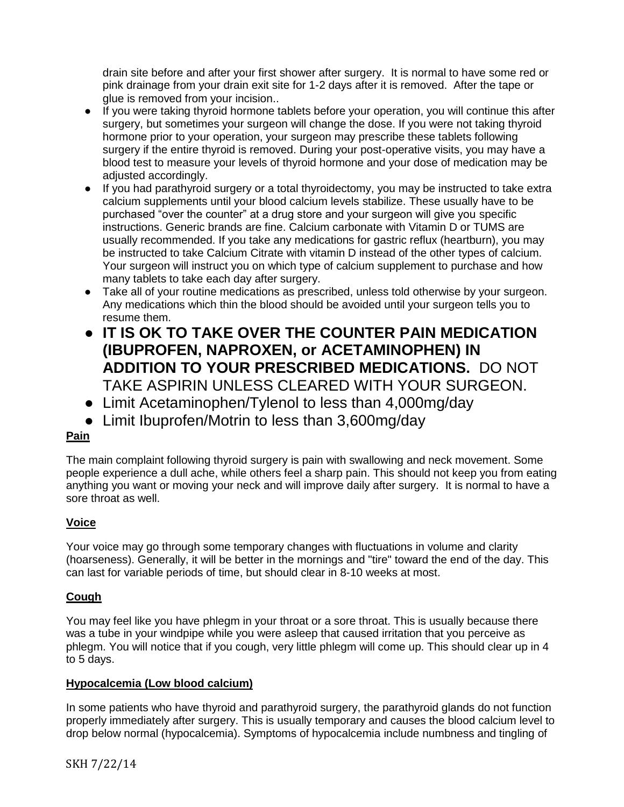drain site before and after your first shower after surgery. It is normal to have some red or pink drainage from your drain exit site for 1-2 days after it is removed. After the tape or glue is removed from your incision..

- If you were taking thyroid hormone tablets before your operation, you will continue this after surgery, but sometimes your surgeon will change the dose. If you were not taking thyroid hormone prior to your operation, your surgeon may prescribe these tablets following surgery if the entire thyroid is removed. During your post-operative visits, you may have a blood test to measure your levels of thyroid hormone and your dose of medication may be adjusted accordingly.
- If you had parathyroid surgery or a total thyroidectomy, you may be instructed to take extra calcium supplements until your blood calcium levels stabilize. These usually have to be purchased "over the counter" at a drug store and your surgeon will give you specific instructions. Generic brands are fine. Calcium carbonate with Vitamin D or TUMS are usually recommended. If you take any medications for gastric reflux (heartburn), you may be instructed to take Calcium Citrate with vitamin D instead of the other types of calcium. Your surgeon will instruct you on which type of calcium supplement to purchase and how many tablets to take each day after surgery.
- Take all of your routine medications as prescribed, unless told otherwise by your surgeon. Any medications which thin the blood should be avoided until your surgeon tells you to resume them.
- **IT IS OK TO TAKE OVER THE COUNTER PAIN MEDICATION (IBUPROFEN, NAPROXEN, or ACETAMINOPHEN) IN ADDITION TO YOUR PRESCRIBED MEDICATIONS.** DO NOT TAKE ASPIRIN UNLESS CLEARED WITH YOUR SURGEON.
- Limit Acetaminophen/Tylenol to less than 4,000mg/day
- Limit Ibuprofen/Motrin to less than 3,600mg/day

# **Pain**

The main complaint following thyroid surgery is pain with swallowing and neck movement. Some people experience a dull ache, while others feel a sharp pain. This should not keep you from eating anything you want or moving your neck and will improve daily after surgery. It is normal to have a sore throat as well.

# **Voice**

Your voice may go through some temporary changes with fluctuations in volume and clarity (hoarseness). Generally, it will be better in the mornings and "tire" toward the end of the day. This can last for variable periods of time, but should clear in 8-10 weeks at most.

# **Cough**

You may feel like you have phlegm in your throat or a sore throat. This is usually because there was a tube in your windpipe while you were asleep that caused irritation that you perceive as phlegm. You will notice that if you cough, very little phlegm will come up. This should clear up in 4 to 5 days.

## **Hypocalcemia (Low blood calcium)**

In some patients who have thyroid and parathyroid surgery, the parathyroid glands do not function properly immediately after surgery. This is usually temporary and causes the blood calcium level to drop below normal (hypocalcemia). Symptoms of hypocalcemia include numbness and tingling of